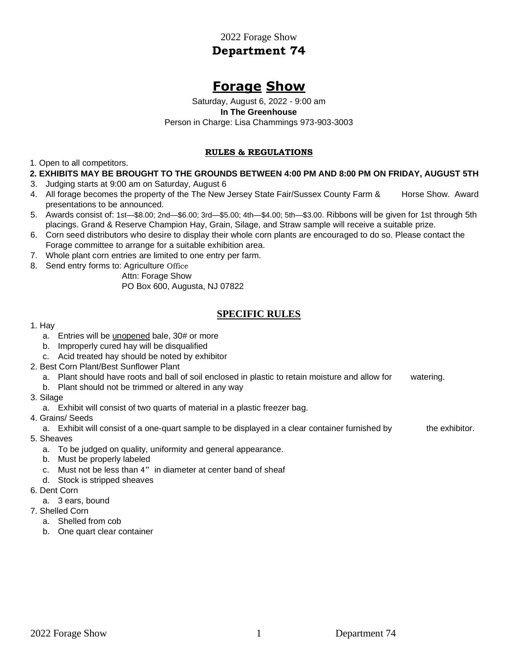2022 Forage Show **Department 74** 

# **Forage Show**

Saturday, August 6, 2022 - 9:00 am **In The Greenhouse**  Person in Charge: Lisa Chammings 973-903-3003

#### **RULES & REGULATIONS**

1. Open to all competitors.

#### **2. EXHIBITS MAY BE BROUGHT TO THE GROUNDS BETWEEN 4:00 PM AND 8:00 PM ON FRIDAY, AUGUST 5TH**

- 3. Judging starts at 9:00 am on Saturday, August 6
- 4. All forage becomes the property of the The New Jersey State Fair/Sussex County Farm & Horse Show. Award presentations to be announced.
- 5. Awards consist of: 1st—\$8.00; 2nd—\$6.00; 3rd—\$5.00; 4th—\$4.00; 5th—\$3.00. Ribbons will be given for 1st through 5th placings. Grand & Reserve Champion Hay, Grain, Silage, and Straw sample will receive a suitable prize.
- 6. Corn seed distributors who desire to display their whole corn plants are encouraged to do so. Please contact the Forage committee to arrange for a suitable exhibition area.
- 7. Whole plant corn entries are limited to one entry per farm.
- 8. Send entry forms to: Agriculture Office

Attn: Forage Show

PO Box 600, Augusta, NJ 07822

# **SPECIFIC RULES**

#### 1. Hay

- a. Entries will be unopened bale, 30# or more
- b. Improperly cured hay will be disqualified
- c. Acid treated hay should be noted by exhibitor
- 2. Best Corn Plant/Best Sunflower Plant
	- a. Plant should have roots and ball of soil enclosed in plastic to retain moisture and allow for watering.
	- b. Plant should not be trimmed or altered in any way
- 3. Silage
	- a. Exhibit will consist of two quarts of material in a plastic freezer bag.
- 4. Grains/ Seeds
	- a. Exhibit will consist of a one-quart sample to be displayed in a clear container furnished by the exhibitor.
- 5. Sheaves
	- a. To be judged on quality, uniformity and general appearance.
	- b. Must be properly labeled
	- c. Must not be less than 4" in diameter at center band of sheaf
	- d. Stock is stripped sheaves
- 6. Dent Corn
	- a. 3 ears, bound
- 7. Shelled Corn
	- a. Shelled from cob
	- b. One quart clear container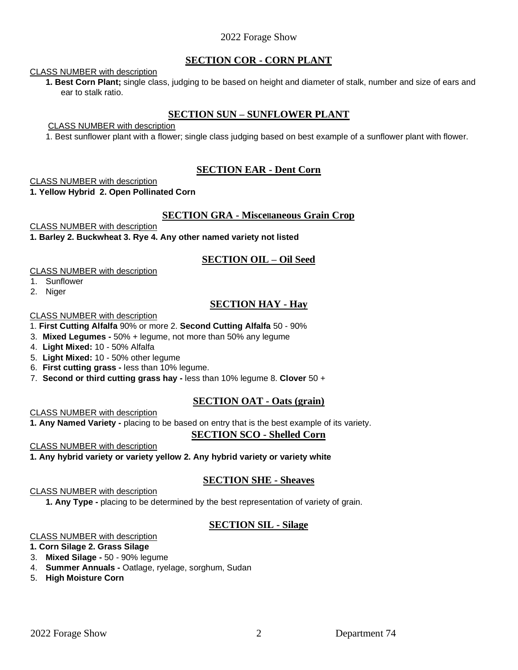## 2022 Forage Show

## **SECTION COR - CORN PLANT**

#### CLASS NUMBER with description

**1. Best Corn Plant;** single class, judging to be based on height and diameter of stalk, number and size of ears and ear to stalk ratio.

## **SECTION SUN – SUNFLOWER PLANT**

CLASS NUMBER with description

1. Best sunflower plant with a flower; single class judging based on best example of a sunflower plant with flower.

## **SECTION EAR - Dent Corn**

CLASS NUMBER with description

**1. Yellow Hybrid 2. Open Pollinated Corn** 

### **SECTION GRA - Miscellaneous Grain Crop**

CLASS NUMBER with description

**1. Barley 2. Buckwheat 3. Rye 4. Any other named variety not listed** 

## **SECTION OIL – Oil Seed**

CLASS NUMBER with description

- 1. Sunflower
- 2. Niger

## **SECTION HAY - Hay**

CLASS NUMBER with description

1. **First Cutting Alfalfa** 90% or more 2. **Second Cutting Alfalfa** 50 - 90%

- 3. **Mixed Legumes -** 50% + legume, not more than 50% any legume
- 4. **Light Mixed:** 10 50% Alfalfa
- 5. **Light Mixed:** 10 50% other legume
- 6. **First cutting grass -** less than 10% legume.
- 7. **Second or third cutting grass hay -** less than 10% legume 8. **Clover** 50 +

## **SECTION OAT - Oats (grain)**

CLASS NUMBER with description

**1. Any Named Variety -** placing to be based on entry that is the best example of its variety.

## **SECTION SCO - Shelled Corn**

CLASS NUMBER with description

**1. Any hybrid variety or variety yellow 2. Any hybrid variety or variety white** 

## **SECTION SHE - Sheaves**

CLASS NUMBER with description

**1. Any Type -** placing to be determined by the best representation of variety of grain.

## **SECTION SIL - Silage**

#### CLASS NUMBER with description

#### **1. Corn Silage 2. Grass Silage**

- 3. **Mixed Silage -** 50 90% legume
- 4. **Summer Annuals -** Oatlage, ryelage, sorghum, Sudan
- 5. **High Moisture Corn**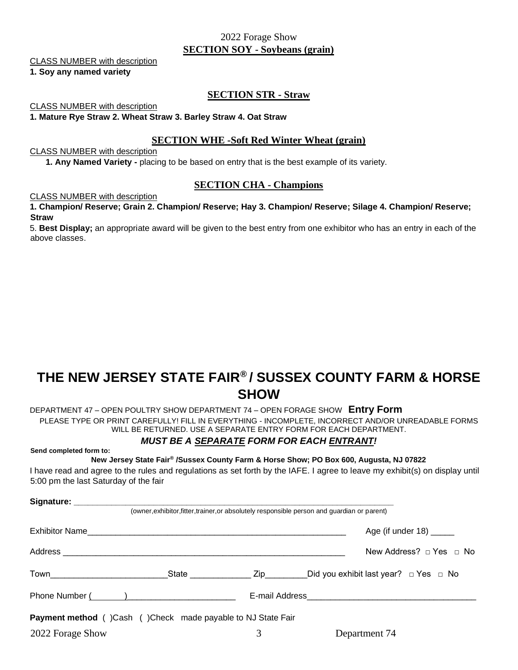## 2022 Forage Show **SECTION SOY - Soybeans (grain)**

#### CLASS NUMBER with description

#### **1. Soy any named variety**

#### **SECTION STR - Straw**

CLASS NUMBER with description

**1. Mature Rye Straw 2. Wheat Straw 3. Barley Straw 4. Oat Straw** 

### **SECTION WHE -Soft Red Winter Wheat (grain)**

#### CLASS NUMBER with description

**1. Any Named Variety -** placing to be based on entry that is the best example of its variety.

#### **SECTION CHA - Champions**

#### CLASS NUMBER with description

**1. Champion/ Reserve; Grain 2. Champion/ Reserve; Hay 3. Champion/ Reserve; Silage 4. Champion/ Reserve; Straw** 

5. **Best Display;** an appropriate award will be given to the best entry from one exhibitor who has an entry in each of the above classes.

# **THE NEW JERSEY STATE FAIR® / SUSSEX COUNTY FARM & HORSE SHOW**

DEPARTMENT 47 – OPEN POULTRY SHOW DEPARTMENT 74 – OPEN FORAGE SHOW **Entry Form**  PLEASE TYPE OR PRINT CAREFULLY! FILL IN EVERYTHING - INCOMPLETE, INCORRECT AND/OR UNREADABLE FORMS WILL BE RETURNED. USE A SEPARATE ENTRY FORM FOR EACH DEPARTMENT.

## *MUST BE A SEPARATE FORM FOR EACH ENTRANT!*

**Send completed form to:** 

**New Jersey State Fair® /Sussex County Farm & Horse Show; PO Box 600, Augusta, NJ 07822** 

I have read and agree to the rules and regulations as set forth by the IAFE. I agree to leave my exhibit(s) on display until 5:00 pm the last Saturday of the fair

| Signature: __________                                              |           |                                                                                              |
|--------------------------------------------------------------------|-----------|----------------------------------------------------------------------------------------------|
|                                                                    |           | (owner, exhibitor, fitter, trainer, or absolutely responsible person and guardian or parent) |
|                                                                    |           | Age (if under $18$ ) ______                                                                  |
|                                                                    |           | New Address? $\sqcap$ Yes $\sqcap$ No                                                        |
| Town                                                               | State Zip | Did you exhibit last year? $\Box$ Yes $\Box$ No                                              |
| Phone Number ( and )                                               |           |                                                                                              |
| <b>Payment method</b> ()Cash ()Check made payable to NJ State Fair |           |                                                                                              |
| 2022 Forage Show                                                   | 3         | Department 74                                                                                |